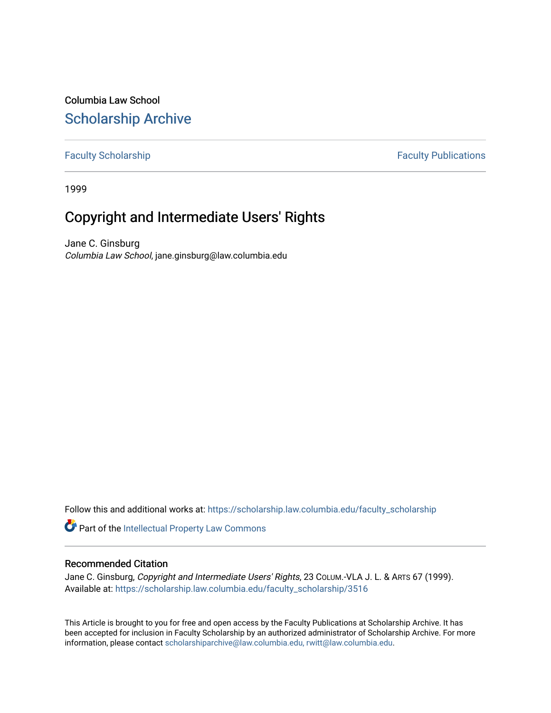Columbia Law School [Scholarship Archive](https://scholarship.law.columbia.edu/) 

# [Faculty Scholarship](https://scholarship.law.columbia.edu/faculty_scholarship) **Faculty Scholarship Faculty Publications**

1999

# Copyright and Intermediate Users' Rights

Jane C. Ginsburg Columbia Law School, jane.ginsburg@law.columbia.edu

Follow this and additional works at: [https://scholarship.law.columbia.edu/faculty\\_scholarship](https://scholarship.law.columbia.edu/faculty_scholarship?utm_source=scholarship.law.columbia.edu%2Ffaculty_scholarship%2F3516&utm_medium=PDF&utm_campaign=PDFCoverPages)

Part of the [Intellectual Property Law Commons](https://network.bepress.com/hgg/discipline/896?utm_source=scholarship.law.columbia.edu%2Ffaculty_scholarship%2F3516&utm_medium=PDF&utm_campaign=PDFCoverPages) 

## Recommended Citation

Jane C. Ginsburg, Copyright and Intermediate Users' Rights, 23 COLUM.-VLA J. L. & ARTS 67 (1999). Available at: [https://scholarship.law.columbia.edu/faculty\\_scholarship/3516](https://scholarship.law.columbia.edu/faculty_scholarship/3516?utm_source=scholarship.law.columbia.edu%2Ffaculty_scholarship%2F3516&utm_medium=PDF&utm_campaign=PDFCoverPages)

This Article is brought to you for free and open access by the Faculty Publications at Scholarship Archive. It has been accepted for inclusion in Faculty Scholarship by an authorized administrator of Scholarship Archive. For more information, please contact [scholarshiparchive@law.columbia.edu, rwitt@law.columbia.edu](mailto:scholarshiparchive@law.columbia.edu,%20rwitt@law.columbia.edu).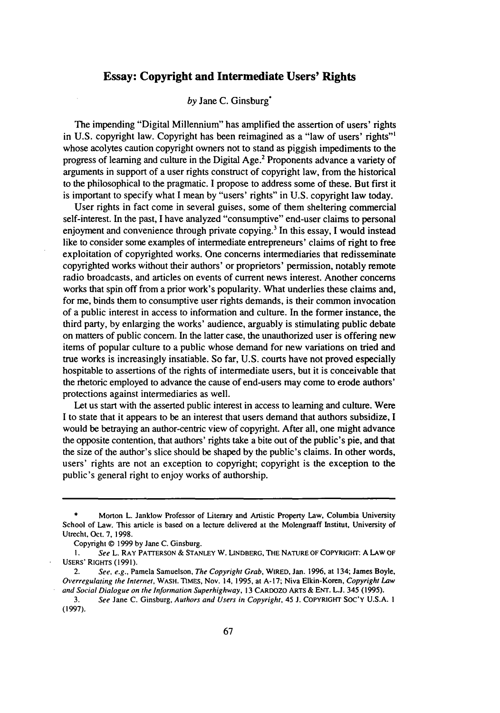### **Essay: Copyright and Intermediate Users' Rights**

### *by* Jane C. Ginsburg\*

The impending "Digital Millennium" has amplified the assertion of users' rights in U.S. copyright law. Copyright has been reimagined as a "law of users' rights"' whose acolytes caution copyright owners not to stand as piggish impediments to the progress of learning and culture in the Digital Age.2 Proponents advance a variety of arguments in support of a user rights construct of copyright law, from the historical to the philosophical to the pragmatic. I propose to address some of these. But first it is important to specify what I mean by "users' rights" in U.S. copyright law today.

User rights in fact come in several guises, some of them sheltering commercial self-interest. In the past, I have analyzed "consumptive" end-user claims to personal enjoyment and convenience through private copying.<sup>3</sup> In this essay, I would instead like to consider some examples of intermediate entrepreneurs' claims of right to free exploitation of copyrighted works. One concerns intermediaries that redisseminate copyrighted works without their authors' or proprietors' permission, notably remote radio broadcasts, and articles on events of current news interest. Another concerns works that spin off from a prior work's popularity. What underlies these claims and, for me, binds them to consumptive user rights demands, is their common invocation of a public interest in access to information and culture. In the former instance, the third party, by enlarging the works' audience, arguably is stimulating public debate on matters of public concern. In the latter case, the unauthorized user is offering new items of popular culture to a public whose demand for new variations on tried and true works is increasingly insatiable. So far, U.S. courts have not proved especially hospitable to assertions of the rights of intermediate users, but it is conceivable that the rhetoric employed to advance the cause of end-users may come to erode authors' protections against intermediaries as well.

Let us start with the asserted public interest in access to learning and culture. Were **I** to state that it appears to be an interest that users demand that authors subsidize, I would be betraying an author-centric view of copyright. After all, one might advance the opposite contention, that authors' rights take a bite out of the public's pie, and that the size of the author's slice should be shaped by the public's claims. In other words, users' rights are not an exception to copyright; copyright is the exception to the public's general right to enjoy works of authorship.

**<sup>\*</sup>** Morton L. Janklow Professor of Literary and Artistic Property Law, Columbia University School of Law. This article is based on a lecture delivered at the Molengraaff Institut, University of Utrecht, Oct. 7, 1998.

Copyright **@** 1999 by Jane C. Ginsburg.

**I.** See L. RAY PATTERSON & STANLEY W. LINDBERG, THE **NATURE** OF COPYRIGHT: **A** LAW OF USERS' RIGHTS (1991).

<sup>2.</sup> See, e.g., Pamela Samuelson, The Copyright Grab, WIRED, Jan. 1996, at 134; James Boyle, Overregulating the Internet, WASH. TIMES, Nov. 14, 1995, at A- 17; Niva Elkin-Koren, Copyright Law and Social Dialogue on the *Information* Superhighway, 13 CARDOZO ARTS & ENT. L.J. 345 (1995).

<sup>3.</sup> See Jane C. Ginsburg, Authors *and Users in Copyright,* 45 **J.** COPYRIGHT SOC'Y **U.S.A. 1** (1997).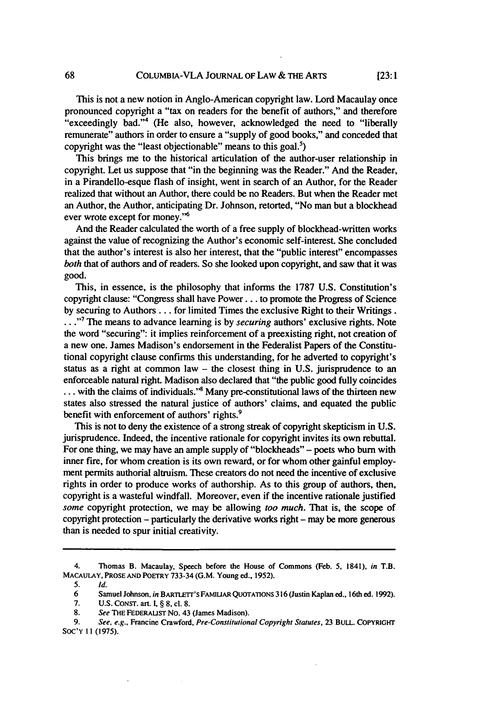This is not a new notion in Anglo-American copyright law. Lord Macaulay once pronounced copyright a "tax on readers for the benefit of authors," and therefore "exceedingly bad."4 (He also, however, acknowledged the need to "liberally remunerate" authors in order to ensure a "supply of good books," and conceded that copyright was the "least objectionable" means to this goal. $<sup>5</sup>$ )</sup>

This brings me to the historical articulation of the author-user relationship in copyright. Let us suppose that "in the beginning was the Reader." And the Reader, in a Pirandello-esque flash of insight, went in search of an Author, for the Reader realized that without an Author, there could be no Readers. But when the Reader met an Author, the Author, anticipating Dr. Johnson, retorted, "No man but a blockhead ever wrote except for money."<sup>6</sup>

And the Reader calculated the worth of a free supply of blockhead-written works against the value of recognizing the Author's economic self-interest. She concluded that the author's interest is also her interest, that the "public interest" encompasses *both* that of authors and of readers. So she looked upon copyright, and saw that it was good.

This, in essence, is the philosophy that informs the 1787 U.S. Constitution's copyright clause: "Congress shall have Power... to promote the Progress of Science by securing to Authors... for limited Times the exclusive Right to their Writings. **•."7** The means to advance learning is by *securing* authors' exclusive rights. Note the word "securing": it implies reinforcement of a preexisting right, not creation of a new one. James Madison's endorsement in the Federalist Papers of the Constitutional copyright clause confirms this understanding, for he adverted to copyright's status as a right at common law  $-$  the closest thing in U.S. jurisprudence to an enforceable natural right. Madison also declared that "the public good fully coincides ... with the claims of individuals."<sup>8</sup> Many pre-constitutional laws of the thirteen new states also stressed the natural justice of authors' claims, and equated the public benefit with enforcement of authors' rights.<sup>9</sup>

This is not to deny the existence of a strong streak of copyright skepticism in U.S. jurisprudence. Indeed, the incentive rationale for copyright invites its own rebuttal. For one thing, we may have an ample supply of "blockheads" - poets who burn with inner fire, for whom creation is its own reward, or for whom other gainful employment permits authorial altruism. These creators do not need the incentive of exclusive rights in order to produce works of authorship. As to this group of authors, then, copyright is a wasteful windfall. Moreover, even if the incentive rationale justified *some* copyright protection, we may be allowing *too much.* That is, the scope of copyright protection **-** particularly the derivative works right- may be more generous than is needed to spur initial creativity.

<sup>4.</sup> Thomas B. Macaulay, Speech before the House of Commons (Feb. **5,** 1841), *in* T.B. **MACAULAY, PROSE AND POETRY 733-34 (G.M.** Young ed., **1952).**

<sup>5.</sup> **Id.**

<sup>6</sup> Samuel Johnson, *in BARTLt's* **FAMIUAR** QUOTATIONS **316** (Justin Kaplan ed., 16th ed. 1992).

**<sup>7.</sup> U.S.** CONST. art. I, § **8,** cl. **8.**

**<sup>8.</sup>** See THE **FEDERAUST** No. 43 (James Madison).

*<sup>9.</sup> See, e.g.,* Francine Crawford, Pre-Conslitutional Copyright Statutes, 23 BULL. COPYRIGHT SOC'Y **11 (1975).**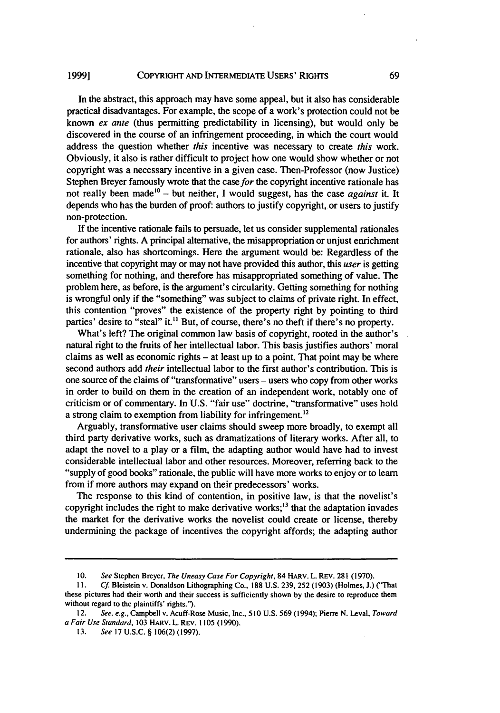#### COPYRIGHT AND INTERMEDIATE USERS' RIGHTS **1999]**

In the abstract, this approach may have some appeal, but it also has considerable practical disadvantages. For example, the scope of a work's protection could not be known *ex ante* (thus permitting predictability in licensing), but would only be discovered in the course of an infringement proceeding, in which the court would address the question whether *this* incentive was necessary to create *this* work. Obviously, it also is rather difficult to project how one would show whether or not copyright was a necessary incentive in a given case. Then-Professor (now Justice) Stephen Breyer famously wrote that the case *for* the copyright incentive rationale has not really been made'0 - but neither, I would suggest, has the case *against* it. It depends who has the burden of proof: authors to justify copyright, or users to justify non-protection.

**If** the incentive rationale fails to persuade, let us consider supplemental rationales for authors' rights. A principal alternative, the misappropriation or unjust enrichment rationale, also has shortcomings. Here the argument would be: Regardless of the incentive that copyright may or may not have provided this author, this *user* is getting something for nothing, and therefore has misappropriated something of value. **The** problem here, as before, is the argument's circularity. Getting something for nothing is wrongful only if the "something" was subject to claims of private right. In effect, this contention "proves" the existence of the property right **by** pointing to third parties' desire to "steal" it.<sup>11</sup> But, of course, there's no theft if there's no property.

What's left? The original common law basis of copyright, rooted in the author's natural right to the fruits of her intellectual labor. This basis justifies authors' moral claims as well as economic rights  $-$  at least up to a point. That point may be where second authors add *their* intellectual labor to the first author's contribution. This is one source of the claims of "transformative" users - users who copy from other works in order to build on them in the creation of an independent work, notably one of criticism or of commentary. In **U.S.** "fair use" doctrine, "transformative" uses hold a strong claim to exemption from liability for infringement.<sup>12</sup>

Arguably, transformative user claims should sweep more broadly, to exempt all third party derivative works, such as dramatizations of literary works. After all, to adapt the novel to a play or a film, the adapting author would have had to invest considerable intellectual labor and other resources. Moreover, referring back to the "supply of good books" rationale, the public will have more works to enjoy or to learn from if more authors may expand on their predecessors' works.

The response to this kind of contention, in positive law, is that the novelist's copyright includes the right to make derivative works; $<sup>13</sup>$  that the adaptation invades</sup> the market for the derivative works the novelist could create or license, thereby undermining the package of incentives the copyright affords; the adapting author

<sup>10.</sup> See Stephen Breyer, *The Uneasy Case For Copyright*, 84 HARV. L. REV. 281 (1970).

II. *Cf* Bleistein v. Donaldson Lithographing Co., **188** U.S. 239, 252 (1903) (Holmes, J.) ("That these pictures had their worth and their success is sufficiently shown **by** the desire to reproduce them without regard to the plaintiffs' rights.").

<sup>12.</sup> *See, e.g.,* Campbell v. Acuff-Rose Music, Inc., 510 U.S. 569 (1994); Pierre N. Leval, Toward *a* Fair Use *Standard,* 103 HARV. L. REV. 1105 (1990).

**<sup>13.</sup>** *See* **17** U.S.C. § 106(2) (1997).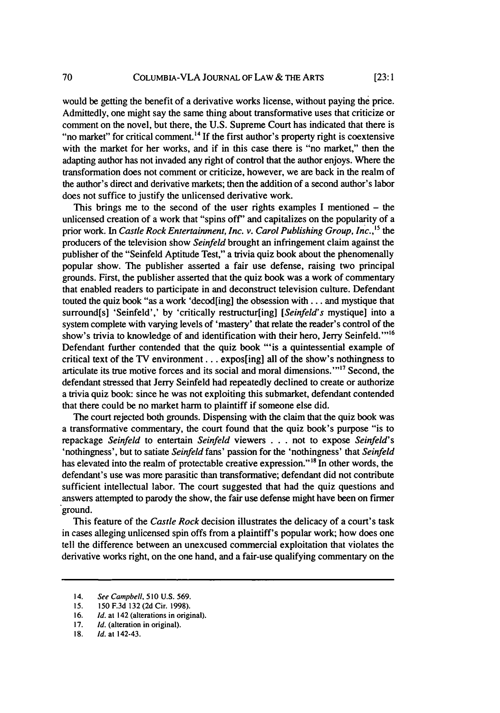would be getting the benefit of a derivative works license, without paying the price. Admittedly, one might say the same thing about transformative uses that criticize or comment on the novel, but there, the U.S. Supreme Court has indicated that there is "no market" for critical comment.<sup>14</sup> If the first author's property right is coextensive with the market for her works, and if in this case there is "no market," then the adapting author has not invaded any right of control that the author enjoys. Where the transformation does not comment or criticize, however, we are back in the realm of the author's direct and derivative markets; then the addition of a second author's labor does not suffice to justify the unlicensed derivative work.

This brings me to the second of the user rights examples I mentioned  $-$  the unlicensed creation of a work that "spins off" and capitalizes on the popularity of a prior work. In *Castle Rock Entertainment, Inc. v. Carol Publishing Group, Inc.*,<sup>15</sup> the producers of the television show *Seinfeld* brought an infringement claim against the publisher of the "Seinfeld Aptitude Test," a trivia quiz book about the phenomenally popular show. The publisher asserted a fair use defense, raising two principal grounds. First, the publisher asserted that the quiz book was a work of commentary that enabled readers to participate in and deconstruct television culture. Defendant touted the quiz book "as a work 'decod[ing] the obsession with **...** and mystique that surround[s] 'Seinfeld',' by 'critically restructur[ing] *[Seinfeld's* mystique] into a system complete with varying levels of 'mastery' that relate the reader's control of the show's trivia to knowledge of and identification with their hero, Jerry Seinfeld. "<sup>16</sup> Defendant further contended that the quiz book "'is a quintessential example of critical text of the TV environment... expos[ing] all of the show's nothingness to articulate its true motive forces and its social and moral dimensions."<sup>17</sup> Second, the defendant stressed that Jerry Seinfeld had repeatedly declined to create or authorize a trivia quiz book: since he was not exploiting this submarket, defendant contended that there could be no market harm to plaintiff if someone else did.

The court rejected both grounds. Dispensing with the claim that the quiz book was a transformative commentary, the court found that the quiz book's purpose "is to repackage *Seinfeld* to entertain *Seinfeld* viewers . . . not to expose *Seinfeld's* 'nothingness', but to satiate *Seinfeld* fans' passion for the 'nothingness' that *Seinfeld* has elevated into the realm of protectable creative expression."<sup>18</sup> In other words, the defendant's use was more parasitic than transformative; defendant did not contribute sufficient intellectual labor. The court suggested that had the quiz questions and answers attempted to parody the show, the fair use defense might have been on firmer ground.

This feature of the *Castle Rock* decision illustrates the delicacy of a court's task in cases alleging unlicensed spin offs from a plaintiff's popular work; how does one tell the difference between an unexcused commercial exploitation that violates the derivative works right, on the one hand, and a fair-use qualifying commentary on the

<sup>14.</sup> See Campbell, 510 U.S. 569.

<sup>15. 150</sup> F.3d 132 (2d Cir. 1998).

<sup>16.</sup> *Id.* at 142 (alterations in original).

<sup>17.</sup> *Id.* (alteration in original).

*<sup>18.</sup> Id.* at 142-43.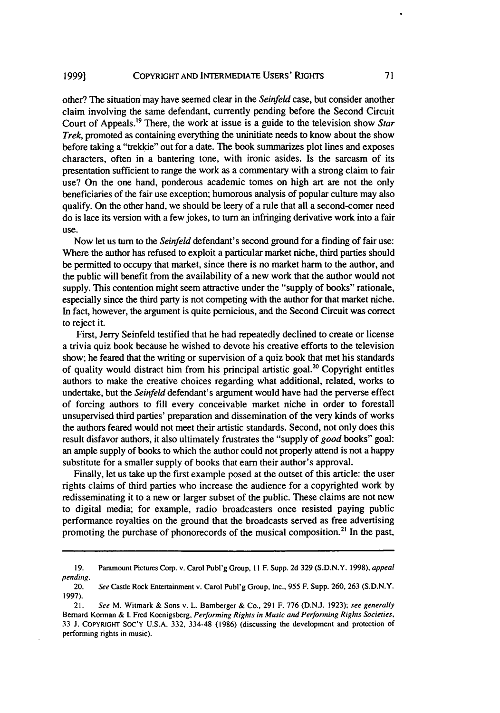other? The situation may have seemed clear in the *Seinfeld* case, but consider another claim involving the same defendant, currently pending before the Second Circuit Court of Appeals.<sup>19</sup> There, the work at issue is a guide to the television show *Star Trek,* promoted as containing everything the uninitiate needs to know about the show before taking a "trekkie" out for a date. The book summarizes plot lines and exposes characters, often in a bantering tone, with ironic asides. Is the sarcasm of its presentation sufficient to range the work as a commentary with a strong claim to fair use? On the one hand, ponderous academic tomes on high art are not the only beneficiaries of the fair use exception; humorous analysis of popular culture may also qualify. On the other hand, we should be leery of a rule that all a second-comer need do is lace its version with a few jokes, to turn an infringing derivative work into a fair use.

Now let us turn to the *Seinfeld* defendant's second ground for a finding of fair use: Where the author has refused to exploit a particular market niche, third parties should be permitted to occupy that market, since there is no market harm to the author, and the public will benefit from the availability of a new work that the author would not supply. This contention might seem attractive under the "supply of books" rationale, especially since the third party is not competing with the author for that market niche. In fact, however, the argument is quite pernicious, and the Second Circuit was correct to reject it.

First, Jerry Seinfeld testified that he had repeatedly declined to create or license a trivia quiz book because he wished to devote his creative efforts to the television show; he feared that the writing or supervision of a quiz book that met his standards of quality would distract him from his principal artistic goal.<sup>20</sup> Copyright entitles authors to make the creative choices regarding what additional, related, works to undertake, but the *Seinfeld* defendant's argument would have had the perverse effect of forcing authors to fill every conceivable market niche in order to forestall unsupervised third parties' preparation and dissemination of the very kinds of works the authors feared would not meet their artistic standards. Second, not only does this result disfavor authors, it also ultimately frustrates the "supply of *good* books" goal: an ample supply of books to which the author could not properly attend is not a happy substitute for a smaller supply of books that earn their author's approval.

Finally, let us take up the first example posed at the outset of this article: the user rights claims of third parties who increase the audience for a copyrighted work **by** redisseminating it to a new or larger subset of the public. These claims are not new to digital media; for example, radio broadcasters once resisted paying public performance royalties on the ground that the broadcasts served as free advertising promoting the purchase of phonorecords of the musical composition.<sup>21</sup> In the past,

<sup>19.</sup> Paramount Pictures Corp. v. Carol Publ'g Group, 11 F. Supp. 2d 329 (S.D.N.Y. 1998), appeal pending.

<sup>20.</sup> See Castle Rock Entertainment v. Carol Publ'g Group, Inc., 955 F. Supp. 260, 263 (S.D.N.Y. 1997).

<sup>21.</sup> See M. Witmark & Sons v. L. Bamberger & Co., 291 F. **776** (D.N.J. 1923); see generally Bernard Korman & **I.** Fred Koenigsberg, Performing Rights in Music and Performing Rights Societies, 33 J. COPYRIGHT Soc'Y **U.S.A.** 332, 334-48 (1986) (discussing the development and protection of performing rights in music).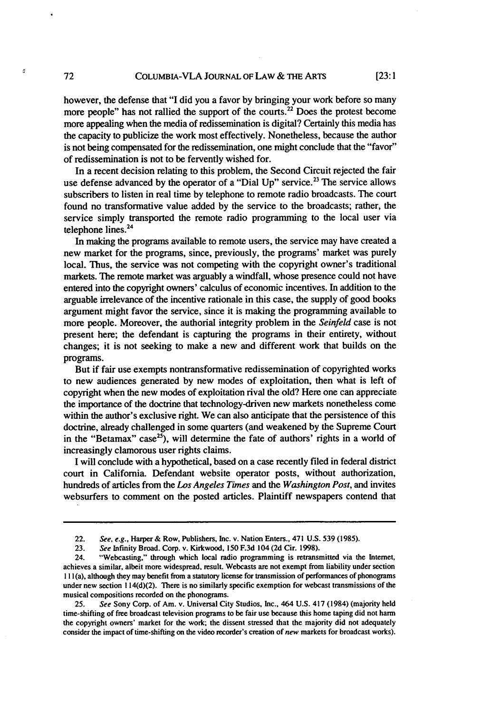however, the defense that "I did you a favor by bringing your work before so many more people" has not rallied the support of the courts.<sup>22</sup> Does the protest become more appealing when the media of redissemination is digital? Certainly this media has the capacity to publicize the work most effectively. Nonetheless, because the author is not being compensated for the redissemination, one might conclude that the "favor" of redissemination is not to be fervently wished for.

In a recent decision relating to this problem, the Second Circuit rejected the fair use defense advanced by the operator of a "Dial Up" service.<sup>23</sup> The service allows subscribers to listen in real time by telephone to remote radio broadcasts. The court found no transformative value added by the service to the broadcasts; rather, the service simply transported the remote radio programming to the local user via telephone lines.<sup>24</sup>

In making the programs available to remote users, the service may have created a new market for the programs, since, previously, the programs' market was purely local. Thus, the service was not competing with the copyright owner's traditional markets. The remote market was arguably a windfall, whose presence could not have entered into the copyright owners' calculus of economic incentives. In addition to the arguable irrelevance of the incentive rationale in this case, the supply of good books argument might favor the service, since it is making the programming available to more people. Moreover, the authorial integrity problem in the *Seinfeld* case is not present here; the defendant is capturing the programs in their entirety, without changes; it is not seeking to make a new and different work that builds on the programs.

But if fair use exempts nontransformative redissemination of copyrighted works to new audiences generated **by** new modes of exploitation, then what is left of copyright when the new modes of exploitation rival the old? Here one can appreciate the importance of the doctrine that technology-driven new markets nonetheless come within the author's exclusive right. We can also anticipate that the persistence of this doctrine, already challenged in some quarters (and weakened **by** the Supreme Court in the "Betamax" case<sup>25</sup>), will determine the fate of authors' rights in a world of increasingly clamorous user rights claims.

I will conclude with a hypothetical, based on a case recently filed in federal district court in California. Defendant website operator posts, without authorization, hundreds of articles from the *Los Angeles Times* and the *Washington Post,* and invites websurfers to comment on the posted articles. Plaintiff newspapers contend that

72

ø

<sup>22.</sup> *See, e.g.,* Harper & Row, Publishers, Inc. v. Nation Enters., 471 U.S. **539** (1985).

**<sup>23.</sup>** *See* Infinity Broad. Corp. v. Kirkwood, 150 **F.3d** 104 (2d Cir. 1998).

<sup>24. &</sup>quot;Webcasting," through which local radio programming is retransmitted via the Internet, achieves a similar, albeit more widespread, result. Webcasts are not exempt from liability under section **I I I** (a), although they may benefit from a statutory license for transmission of performances of phonograms under new section **I14(d)(2)**. There is no similarly specific exemption for webcast transmissions of the musical compositions recorded on the phonograms.

<sup>25.</sup> *See* Sony Corp. of Am. v. Universal City Studios, Inc., 464 **U.S.** 417 (1984) (majority held time-shifting of free broadcast television programs to be fair use because this home taping did not harm the copyright owners' market for the work; the dissent stressed that the majority did not adequately consider the impact of time-shifting on the video recorder's creation of *new* markets for broadcast works).